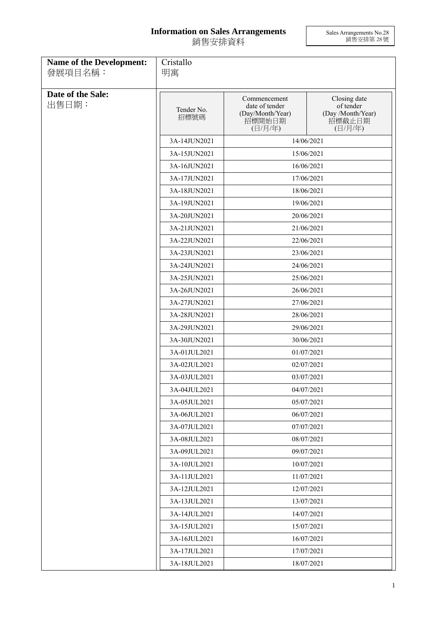## **Information on Sales Arrangements** 銷售安排資料

Sales Arrangements No.28 銷售安排第 28 號

| <b>Name of the Development:</b><br>發展項目名稱: | Cristallo<br>明寓    |                                                                         |                                                                     |
|--------------------------------------------|--------------------|-------------------------------------------------------------------------|---------------------------------------------------------------------|
|                                            |                    |                                                                         |                                                                     |
| Date of the Sale:<br>出售日期:                 | Tender No.<br>招標號碼 | Commencement<br>date of tender<br>(Day/Month/Year)<br>招標開始日期<br>(日/月/年) | Closing date<br>of tender<br>(Day /Month/Year)<br>招標截止日期<br>(日/月/年) |
|                                            | 3A-14JUN2021       |                                                                         | 14/06/2021                                                          |
|                                            | 3A-15JUN2021       |                                                                         | 15/06/2021                                                          |
|                                            | 3A-16JUN2021       |                                                                         | 16/06/2021                                                          |
|                                            | 3A-17JUN2021       | 17/06/2021                                                              |                                                                     |
|                                            | 3A-18JUN2021       |                                                                         | 18/06/2021                                                          |
|                                            | 3A-19JUN2021       |                                                                         | 19/06/2021                                                          |
|                                            | 3A-20JUN2021       |                                                                         | 20/06/2021                                                          |
|                                            | 3A-21JUN2021       |                                                                         | 21/06/2021                                                          |
|                                            | 3A-22JUN2021       |                                                                         | 22/06/2021                                                          |
|                                            | 3A-23JUN2021       |                                                                         | 23/06/2021                                                          |
|                                            | 3A-24JUN2021       |                                                                         | 24/06/2021                                                          |
|                                            | 3A-25JUN2021       |                                                                         | 25/06/2021                                                          |
|                                            | 3A-26JUN2021       | 26/06/2021                                                              |                                                                     |
|                                            | 3A-27JUN2021       | 27/06/2021                                                              |                                                                     |
|                                            | 3A-28JUN2021       |                                                                         | 28/06/2021                                                          |
|                                            | 3A-29JUN2021       |                                                                         | 29/06/2021                                                          |
|                                            | 3A-30JUN2021       |                                                                         | 30/06/2021                                                          |
|                                            | 3A-01JUL2021       | 01/07/2021                                                              |                                                                     |
|                                            | 3A-02JUL2021       | 02/07/2021                                                              |                                                                     |
|                                            | 3A-03JUL2021       | 03/07/2021<br>04/07/2021                                                |                                                                     |
|                                            | 3A-04JUL2021       |                                                                         |                                                                     |
|                                            | 3A-05JUL2021       |                                                                         | 05/07/2021                                                          |
|                                            | 3A-06JUL2021       |                                                                         | 06/07/2021                                                          |
|                                            | 3A-07JUL2021       |                                                                         | 07/07/2021                                                          |
|                                            | 3A-08JUL2021       |                                                                         | 08/07/2021                                                          |
|                                            | 3A-09JUL2021       |                                                                         | 09/07/2021                                                          |
|                                            | 3A-10JUL2021       |                                                                         | 10/07/2021                                                          |
|                                            | 3A-11JUL2021       | 11/07/2021                                                              |                                                                     |
|                                            | 3A-12JUL2021       |                                                                         | 12/07/2021                                                          |
|                                            | 3A-13JUL2021       |                                                                         | 13/07/2021                                                          |
|                                            | 3A-14JUL2021       | 14/07/2021                                                              |                                                                     |
|                                            | 3A-15JUL2021       | 15/07/2021<br>3A-16JUL2021<br>16/07/2021                                |                                                                     |
|                                            |                    |                                                                         |                                                                     |
|                                            | 3A-17JUL2021       |                                                                         | 17/07/2021                                                          |
|                                            | 3A-18JUL2021       |                                                                         | 18/07/2021                                                          |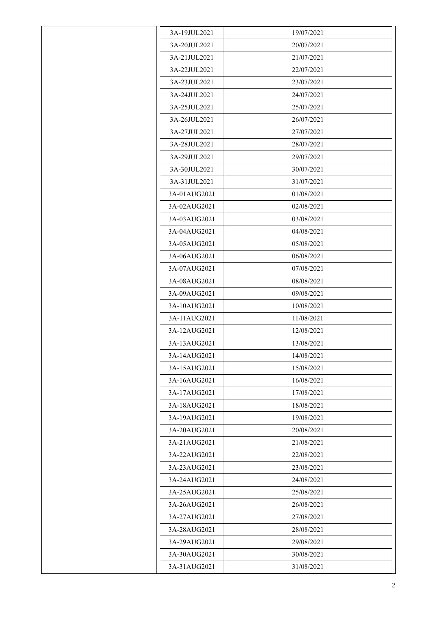| 3A-19JUL2021 | 19/07/2021 |
|--------------|------------|
| 3A-20JUL2021 | 20/07/2021 |
| 3A-21JUL2021 | 21/07/2021 |
| 3A-22JUL2021 | 22/07/2021 |
| 3A-23JUL2021 | 23/07/2021 |
| 3A-24JUL2021 | 24/07/2021 |
| 3A-25JUL2021 | 25/07/2021 |
| 3A-26JUL2021 | 26/07/2021 |
| 3A-27JUL2021 | 27/07/2021 |
| 3A-28JUL2021 | 28/07/2021 |
| 3A-29JUL2021 | 29/07/2021 |
| 3A-30JUL2021 | 30/07/2021 |
| 3A-31JUL2021 | 31/07/2021 |
| 3A-01AUG2021 | 01/08/2021 |
| 3A-02AUG2021 | 02/08/2021 |
| 3A-03AUG2021 | 03/08/2021 |
| 3A-04AUG2021 | 04/08/2021 |
| 3A-05AUG2021 | 05/08/2021 |
| 3A-06AUG2021 | 06/08/2021 |
| 3A-07AUG2021 | 07/08/2021 |
| 3A-08AUG2021 | 08/08/2021 |
| 3A-09AUG2021 | 09/08/2021 |
| 3A-10AUG2021 | 10/08/2021 |
| 3A-11AUG2021 | 11/08/2021 |
| 3A-12AUG2021 | 12/08/2021 |
| 3A-13AUG2021 | 13/08/2021 |
| 3A-14AUG2021 | 14/08/2021 |
| 3A-15AUG2021 | 15/08/2021 |
| 3A-16AUG2021 | 16/08/2021 |
| 3A-17AUG2021 | 17/08/2021 |
| 3A-18AUG2021 | 18/08/2021 |
| 3A-19AUG2021 | 19/08/2021 |
| 3A-20AUG2021 | 20/08/2021 |
| 3A-21AUG2021 | 21/08/2021 |
| 3A-22AUG2021 | 22/08/2021 |
| 3A-23AUG2021 | 23/08/2021 |
| 3A-24AUG2021 | 24/08/2021 |
| 3A-25AUG2021 | 25/08/2021 |
| 3A-26AUG2021 | 26/08/2021 |
| 3A-27AUG2021 | 27/08/2021 |
| 3A-28AUG2021 | 28/08/2021 |
| 3A-29AUG2021 | 29/08/2021 |
| 3A-30AUG2021 | 30/08/2021 |
| 3A-31AUG2021 | 31/08/2021 |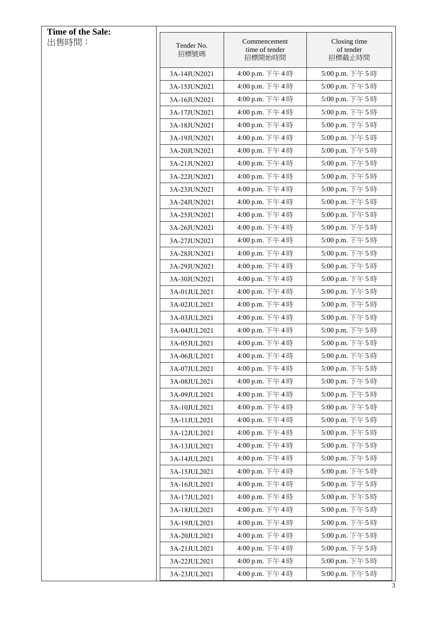| Time of the Sale: |                    |                                          |                                     |
|-------------------|--------------------|------------------------------------------|-------------------------------------|
| 出售時間:             | Tender No.<br>招標號碼 | Commencement<br>time of tender<br>招標開始時間 | Closing time<br>of tender<br>招標截止時間 |
|                   | 3A-14JUN2021       | 4:00 p.m. 下午4時                           | 5:00 p.m. 下午5時                      |
|                   | 3A-15JUN2021       | 4:00 p.m. 下午4時                           | 5:00 p.m. 下午5時                      |
|                   | 3A-16JUN2021       | 4:00 p.m. 下午4時                           | 5:00 p.m. 下午5時                      |
|                   | 3A-17JUN2021       | 4:00 p.m. 下午4時                           | 5:00 p.m. 下午5時                      |
|                   | 3A-18JUN2021       | 4:00 p.m. 下午4時                           | 5:00 p.m. 下午5時                      |
|                   | 3A-19JUN2021       | 4:00 p.m. 下午4時                           | 5:00 p.m. 下午5時                      |
|                   | 3A-20JUN2021       | 4:00 p.m. 下午4時                           | 5:00 p.m. 下午5時                      |
|                   | 3A-21JUN2021       | 4:00 p.m. 下午4時                           | 5:00 p.m. 下午5時                      |
|                   | 3A-22JUN2021       | 4:00 p.m. 下午4時                           | 5:00 p.m. 下午5時                      |
|                   | 3A-23JUN2021       | 4:00 p.m. 下午4時                           | 5:00 p.m. 下午5時                      |
|                   | 3A-24JUN2021       | 4:00 p.m. 下午4時                           | 5:00 p.m. 下午5時                      |
|                   | 3A-25JUN2021       | 4:00 p.m. 下午4時                           | 5:00 p.m. 下午5時                      |
|                   | 3A-26JUN2021       | 4:00 p.m. 下午4時                           | 5:00 p.m. 下午5時                      |
|                   | 3A-27JUN2021       | 4:00 p.m. 下午4時                           | 5:00 p.m. 下午5時                      |
|                   | 3A-28JUN2021       | 4:00 p.m. 下午4時                           | 5:00 p.m. 下午5時                      |
|                   | 3A-29JUN2021       | 4:00 p.m. 下午4時                           | 5:00 p.m. 下午5時                      |
|                   | 3A-30JUN2021       | 4:00 p.m. 下午4時                           | 5:00 p.m. 下午5時                      |
|                   | 3A-01JUL2021       | 4:00 p.m. 下午4時                           | 5:00 p.m. 下午5時                      |
|                   | 3A-02JUL2021       | 4:00 p.m. 下午4時                           | 5:00 p.m. 下午5時                      |
|                   | 3A-03JUL2021       | 4:00 p.m. 下午4時                           | 5:00 p.m. 下午5時                      |
|                   | 3A-04JUL2021       | 4:00 p.m. 下午4時                           | 5:00 p.m. 下午5時                      |
|                   | 3A-05JUL2021       | 4:00 p.m. 下午4時                           | 5:00 p.m. 下午5時                      |
|                   | 3A-06JUL2021       | 4:00 p.m. 下午4時                           | 5:00 p.m. 下午5時                      |
|                   | 3A-07JUL2021       | 4:00 p.m. 下午4時                           | 5:00 p.m. 下午5時                      |
|                   | 3A-08JUL2021       | 4:00 p.m. 下午4時                           | 5:00 p.m. 下午5時                      |
|                   | 3A-09JUL2021       | 4:00 p.m. 下午4時                           | 5:00 p.m. 下午5時                      |
|                   | 3A-10JUL2021       | 4:00 p.m. 下午4時                           | 5:00 p.m. 下午5時                      |
|                   | 3A-11JUL2021       | 4:00 p.m. 下午4時                           | 5:00 p.m. 下午5時                      |
|                   | 3A-12JUL2021       | 4:00 p.m. 下午4時                           | 5:00 p.m. 下午5時                      |
|                   | 3A-13JUL2021       | 4:00 p.m. 下午4時                           | 5:00 p.m. 下午5時                      |
|                   | 3A-14JUL2021       | 4:00 p.m. 下午4時                           | 5:00 p.m. 下午5時                      |
|                   | 3A-15JUL2021       | 4:00 p.m. 下午4時                           | 5:00 p.m. 下午5時                      |
|                   | 3A-16JUL2021       | 4:00 p.m. 下午4時                           | 5:00 p.m. 下午5時                      |
|                   | 3A-17JUL2021       | 4:00 p.m. 下午4時                           | 5:00 p.m. 下午5時                      |
|                   | 3A-18JUL2021       | 4:00 p.m. 下午4時                           | 5:00 p.m. 下午5時                      |
|                   | 3A-19JUL2021       | 4:00 p.m. 下午4時                           | 5:00 p.m. 下午5時                      |
|                   | 3A-20JUL2021       | 4:00 p.m. 下午4時                           | 5:00 p.m. 下午5時                      |
|                   | 3A-21JUL2021       | 4:00 p.m. 下午4時                           | 5:00 p.m. 下午5時                      |
|                   | 3A-22JUL2021       | 4:00 p.m. 下午4時                           | 5:00 p.m. 下午5時                      |
|                   | 3A-23JUL2021       | 4:00 p.m. 下午4時                           | 5:00 p.m. 下午5時                      |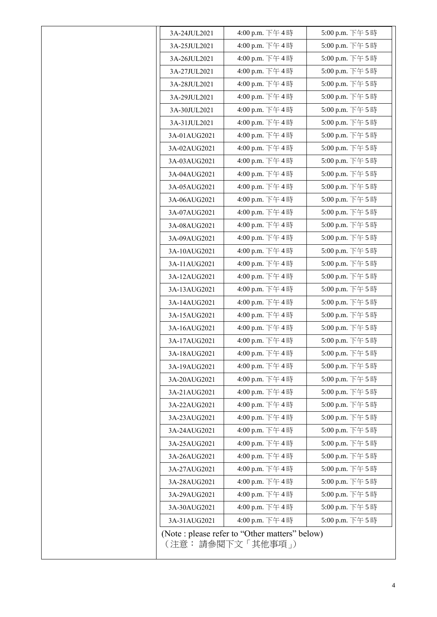| 3A-24JUL2021 | 4:00 p.m. 下午4時 | 5:00 p.m. 下午5時  |
|--------------|----------------|-----------------|
| 3A-25JUL2021 | 4:00 p.m. 下午4時 | 5:00 p.m. 下午5時  |
| 3A-26JUL2021 | 4:00 p.m. 下午4時 | 5:00 p.m. 下午5時  |
| 3A-27JUL2021 | 4:00 p.m. 下午4時 | 5:00 p.m. 下午5時  |
| 3A-28JUL2021 | 4:00 p.m. 下午4時 | 5:00 p.m. 下午5時  |
| 3A-29JUL2021 | 4:00 p.m. 下午4時 | 5:00 p.m. 下午5時  |
| 3A-30JUL2021 | 4:00 p.m. 下午4時 | 5:00 p.m. 下午5時  |
| 3A-31JUL2021 | 4:00 p.m. 下午4時 | 5:00 p.m. 下午5時  |
| 3A-01AUG2021 | 4:00 p.m. 下午4時 | 5:00 p.m. 下午5時  |
| 3A-02AUG2021 | 4:00 p.m. 下午4時 | 5:00 p.m. 下午5時  |
| 3A-03AUG2021 | 4:00 p.m. 下午4時 | 5:00 p.m. 下午5時  |
| 3A-04AUG2021 | 4:00 p.m. 下午4時 | 5:00 p.m. 下午5時  |
| 3A-05AUG2021 | 4:00 p.m. 下午4時 | 5:00 p.m. 下午5時  |
| 3A-06AUG2021 | 4:00 p.m. 下午4時 | 5:00 p.m. 下午5時  |
| 3A-07AUG2021 | 4:00 p.m. 下午4時 | 5:00 p.m. 下午5時  |
| 3A-08AUG2021 | 4:00 p.m. 下午4時 | 5:00 p.m. 下午5時  |
| 3A-09AUG2021 | 4:00 p.m. 下午4時 | 5:00 p.m. 下午5時  |
| 3A-10AUG2021 | 4:00 p.m. 下午4時 | 5:00 p.m. 下午5時  |
| 3A-11AUG2021 | 4:00 p.m. 下午4時 | 5:00 p.m. 下午5時  |
| 3A-12AUG2021 | 4:00 p.m. 下午4時 | 5:00 p.m. 下午5時  |
| 3A-13AUG2021 | 4:00 p.m. 下午4時 | 5:00 p.m. 下午5時  |
| 3A-14AUG2021 | 4:00 p.m. 下午4時 | 5:00 p.m. 下午5時  |
| 3A-15AUG2021 | 4:00 p.m. 下午4時 | 5:00 p.m. 下午5時  |
| 3A-16AUG2021 | 4:00 p.m. 下午4時 | 5:00 p.m. 下午5時  |
| 3A-17AUG2021 | 4:00 p.m. 下午4時 | 5:00 p.m. 下午5時  |
| 3A-18AUG2021 | 4:00 p.m. 下午4時 | 5:00 p.m. 下午5時  |
| 3A-19AUG2021 | 4:00 p.m. 下午4時 | 5:00 p.m. 下午5時  |
| 3A-20AUG2021 | 4:00 p.m. 下午4時 | 5:00 p.m. 下午 5時 |
| 3A-21AUG2021 | 4:00 p.m. 下午4時 | 5:00 p.m. 下午5時  |
| 3A-22AUG2021 | 4:00 p.m. 下午4時 | 5:00 p.m. 下午5時  |
| 3A-23AUG2021 | 4:00 p.m. 下午4時 | 5:00 p.m. 下午5時  |
| 3A-24AUG2021 | 4:00 p.m. 下午4時 | 5:00 p.m. 下午5時  |
| 3A-25AUG2021 | 4:00 p.m. 下午4時 | 5:00 p.m. 下午5時  |
| 3A-26AUG2021 | 4:00 p.m. 下午4時 | 5:00 p.m. 下午5時  |
| 3A-27AUG2021 | 4:00 p.m. 下午4時 | 5:00 p.m. 下午5時  |
| 3A-28AUG2021 | 4:00 p.m. 下午4時 | 5:00 p.m. 下午5時  |
| 3A-29AUG2021 | 4:00 p.m. 下午4時 | 5:00 p.m. 下午5時  |
| 3A-30AUG2021 | 4:00 p.m. 下午4時 | 5:00 p.m. 下午5時  |
|              | 4:00 p.m. 下午4時 | 5:00 p.m. 下午5時  |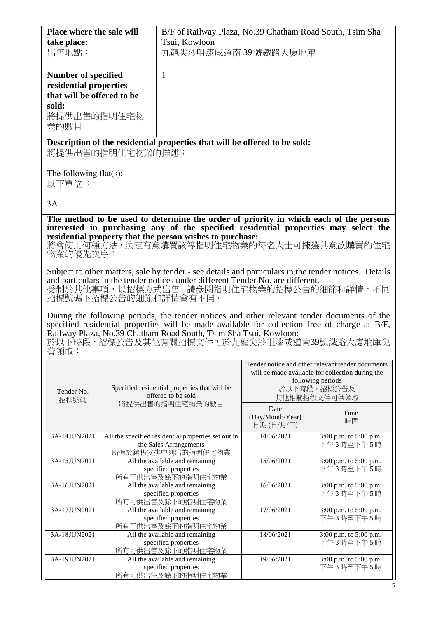| Place where the sale will        |                  | B/F of Railway Plaza, No.39 Chatham Road South, Tsim Sha                                                                                        |                                  |                                                   |
|----------------------------------|------------------|-------------------------------------------------------------------------------------------------------------------------------------------------|----------------------------------|---------------------------------------------------|
| take place:                      |                  | Tsui, Kowloon                                                                                                                                   |                                  |                                                   |
| 出售地點:                            |                  | 九龍尖沙咀漆咸道南39號鐵路大廈地庫                                                                                                                              |                                  |                                                   |
|                                  |                  |                                                                                                                                                 |                                  |                                                   |
| <b>Number of specified</b>       |                  | $\mathbf{1}$                                                                                                                                    |                                  |                                                   |
| residential properties           |                  |                                                                                                                                                 |                                  |                                                   |
| that will be offered to be       |                  |                                                                                                                                                 |                                  |                                                   |
| sold:<br>將提供出售的指明住宅物             |                  |                                                                                                                                                 |                                  |                                                   |
| 業的數目                             |                  |                                                                                                                                                 |                                  |                                                   |
|                                  |                  |                                                                                                                                                 |                                  |                                                   |
|                                  | 將提供出售的指明住宅物業的描述: | Description of the residential properties that will be offered to be sold:                                                                      |                                  |                                                   |
| The following flat(s):<br>以下單位 : |                  |                                                                                                                                                 |                                  |                                                   |
|                                  |                  |                                                                                                                                                 |                                  |                                                   |
| 3A                               |                  |                                                                                                                                                 |                                  |                                                   |
|                                  |                  | The method to be used to determine the order of priority in which each of the persons                                                           |                                  |                                                   |
|                                  |                  | interested in purchasing any of the specified residential properties may select the<br>residential property that the person wishes to purchase: |                                  |                                                   |
|                                  |                  | 將會使用何種方法,決定有意購買該等指明住宅物業的每名人士可揀選其意欲購買的住宅                                                                                                         |                                  |                                                   |
| 物業的優先次序:                         |                  |                                                                                                                                                 |                                  |                                                   |
|                                  |                  | Subject to other matters, sale by tender - see details and particulars in the tender notices. Details                                           |                                  |                                                   |
|                                  |                  | and particulars in the tender notices under different Tender No. are different.                                                                 |                                  |                                                   |
|                                  |                  | 受制於其他事項,以招標方式出售 - 請參閱指明住宅物業的招標公告的細節和詳情。不同                                                                                                       |                                  |                                                   |
|                                  |                  | 招標號碼下招標公告的細節和詳情會有不同。                                                                                                                            |                                  |                                                   |
|                                  |                  | During the following periods, the tender notices and other relevant tender documents of the                                                     |                                  |                                                   |
|                                  |                  | specified residential properties will be made available for collection free of charge at B/F,                                                   |                                  |                                                   |
|                                  |                  | Railway Plaza, No.39 Chatham Road South, Tsim Sha Tsui, Kowloon:-                                                                               |                                  |                                                   |
| 費領取:                             |                  | 於以下時段,招標公告及其他有關招標文件可於九龍尖沙咀漆咸道南39號鐵路大廈地庫免                                                                                                        |                                  |                                                   |
|                                  |                  |                                                                                                                                                 |                                  | Tender notice and other relevant tender documents |
|                                  |                  |                                                                                                                                                 |                                  | will be made available for collection during the  |
|                                  |                  | Specified residential properties that will be                                                                                                   | following periods<br>於以下時段,招標公告及 |                                                   |
| Tender No.<br>招標號碼               |                  | offered to be sold                                                                                                                              |                                  | 其他相關招標文件可供領取                                      |
|                                  |                  | 將提供出售的指明住宅物業的數目                                                                                                                                 | Date                             |                                                   |
|                                  |                  |                                                                                                                                                 | (Day/Month/Year)                 | Time<br>時間                                        |
|                                  |                  |                                                                                                                                                 | 日期(日/月/年)                        |                                                   |
| 3A-14JUN2021                     |                  | All the specified residential properties set out in<br>the Sales Arrangements                                                                   | $14\sqrt{06/2021}$               | 3:00 p.m. to 5:00 p.m.<br>下午3時至下午5時               |
|                                  |                  | 所有於銷售安排中列出的指明住宅物業                                                                                                                               |                                  |                                                   |
| 3A-15JUN2021                     |                  | All the available and remaining<br>specified properties                                                                                         | 15/06/2021                       | 3:00 p.m. to 5:00 p.m.<br>下午3時至下午5時               |
|                                  |                  | 所有可供出售及餘下的指明住宅物業                                                                                                                                |                                  |                                                   |
| 3A-16JUN2021                     |                  | All the available and remaining                                                                                                                 | 16/06/2021                       | 3:00 p.m. to 5:00 p.m.                            |
|                                  |                  | specified properties<br>所有可供出售及餘下的指明住宅物業                                                                                                        |                                  | 下午3時至下午5時                                         |
| 3A-17JUN2021                     |                  | All the available and remaining                                                                                                                 | 17/06/2021                       | 3:00 p.m. to 5:00 p.m.                            |
|                                  |                  | specified properties                                                                                                                            |                                  | 下午3時至下午5時                                         |
| 3A-18JUN2021                     |                  | 所有可供出售及餘下的指明住宅物業<br>All the available and remaining                                                                                             | 18/06/2021                       | 3:00 p.m. to 5:00 p.m.<br>$E/E \to 2 \text{ Hz}$  |
|                                  |                  |                                                                                                                                                 |                                  |                                                   |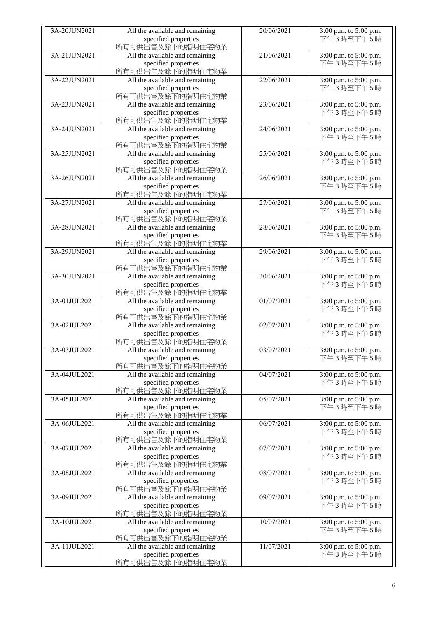| 3A-20JUN2021 | All the available and remaining                     | 20/06/2021 | 3:00 p.m. to 5:00 p.m.              |
|--------------|-----------------------------------------------------|------------|-------------------------------------|
|              | specified properties                                |            | 下午3時至下午5時                           |
|              | 所有可供出售及餘下的指明住宅物業                                    |            |                                     |
| 3A-21JUN2021 | All the available and remaining                     | 21/06/2021 | 3:00 p.m. to 5:00 p.m.              |
|              | specified properties                                |            | 下午3時至下午5時                           |
|              | 所有可供出售及餘下的指明住宅物業                                    |            |                                     |
| 3A-22JUN2021 | All the available and remaining                     | 22/06/2021 | 3:00 p.m. to 5:00 p.m.              |
|              | specified properties                                |            | 下午3時至下午5時                           |
|              | 所有可供出售及餘下的指明住宅物業                                    |            |                                     |
| 3A-23JUN2021 | All the available and remaining                     | 23/06/2021 | 3:00 p.m. to 5:00 p.m.              |
|              | specified properties                                |            | 下午3時至下午5時                           |
|              | 所有可供出售及餘下的指明住宅物業                                    |            |                                     |
| 3A-24JUN2021 | All the available and remaining                     | 24/06/2021 | 3:00 p.m. to 5:00 p.m.              |
|              | specified properties                                |            | 下午3時至下午5時                           |
|              | 所有可供出售及餘下的指明住宅物業                                    |            |                                     |
| 3A-25JUN2021 | All the available and remaining                     | 25/06/2021 | 3:00 p.m. to 5:00 p.m.              |
|              | specified properties                                |            | 下午3時至下午5時                           |
|              | 所有可供出售及餘下的指明住宅物業                                    |            |                                     |
| 3A-26JUN2021 | All the available and remaining                     | 26/06/2021 | 3:00 p.m. to 5:00 p.m.              |
|              | specified properties                                |            | 下午3時至下午5時                           |
|              | 所有可供出售及餘下的指明住宅物業                                    |            |                                     |
| 3A-27JUN2021 | All the available and remaining                     | 27/06/2021 | 3:00 p.m. to 5:00 p.m.              |
|              | specified properties                                |            | 下午3時至下午5時                           |
|              | 所有可供出售及餘下的指明住宅物業                                    |            |                                     |
| 3A-28JUN2021 | All the available and remaining                     | 28/06/2021 | 3:00 p.m. to 5:00 p.m.              |
|              | specified properties                                |            | 下午3時至下午5時                           |
|              | 所有可供出售及餘下的指明住宅物業                                    |            |                                     |
| 3A-29JUN2021 | All the available and remaining                     | 29/06/2021 | 3:00 p.m. to 5:00 p.m.              |
|              | specified properties                                |            | 下午3時至下午5時                           |
|              | 所有可供出售及餘下的指明住宅物業                                    |            |                                     |
| 3A-30JUN2021 | All the available and remaining                     | 30/06/2021 | 3:00 p.m. to 5:00 p.m.              |
|              | specified properties                                |            | 下午3時至下午5時                           |
|              | 所有可供出售及餘下的指明住宅物業                                    |            |                                     |
| 3A-01JUL2021 | All the available and remaining                     | 01/07/2021 | 3:00 p.m. to 5:00 p.m.              |
|              | specified properties                                |            | 下午3時至下午5時                           |
|              | 所有可供出售及餘下的指明住宅物業                                    |            |                                     |
| 3A-02JUL2021 | All the available and remaining                     | 02/07/2021 | 3:00 p.m. to 5:00 p.m.              |
|              | specified properties                                |            | 下午3時至下午5時                           |
|              | 所有可供出售及餘下的指明住宅物業                                    |            |                                     |
| 3A-03JUL2021 | All the available and remaining                     | 03/07/2021 | 3:00 p.m. to 5:00 p.m.              |
|              | specified properties                                |            | 下午3時至下午5時                           |
| 3A-04JUL2021 | 所有可供出售及餘下的指明住宅物業<br>All the available and remaining |            |                                     |
|              | specified properties                                | 04/07/2021 | 3:00 p.m. to 5:00 p.m.<br>下午3時至下午5時 |
|              | 所有可供出售及餘下的指明住宅物業                                    |            |                                     |
| 3A-05JUL2021 | All the available and remaining                     | 05/07/2021 | 3:00 p.m. to 5:00 p.m.              |
|              | specified properties                                |            | 下午3時至下午5時                           |
|              | 所有可供出售及餘下的指明住宅物業                                    |            |                                     |
| 3A-06JUL2021 | All the available and remaining                     | 06/07/2021 | 3:00 p.m. to 5:00 p.m.              |
|              | specified properties                                |            | 下午3時至下午5時                           |
|              | 所有可供出售及餘下的指明住宅物業                                    |            |                                     |
| 3A-07JUL2021 | All the available and remaining                     | 07/07/2021 | 3:00 p.m. to 5:00 p.m.              |
|              | specified properties                                |            | 下午3時至下午5時                           |
|              | 所有可供出售及餘下的指明住宅物業                                    |            |                                     |
| 3A-08JUL2021 | All the available and remaining                     | 08/07/2021 | 3:00 p.m. to 5:00 p.m.              |
|              | specified properties                                |            | 下午3時至下午5時                           |
|              | 所有可供出售及餘下的指明住宅物業                                    |            |                                     |
| 3A-09JUL2021 | All the available and remaining                     | 09/07/2021 | 3:00 p.m. to 5:00 p.m.              |
|              | specified properties                                |            | 下午3時至下午5時                           |
|              | 所有可供出售及餘下的指明住宅物業                                    |            |                                     |
| 3A-10JUL2021 | All the available and remaining                     | 10/07/2021 | 3:00 p.m. to 5:00 p.m.              |
|              | specified properties                                |            | 下午3時至下午5時                           |
|              | 所有可供出售及餘下的指明住宅物業                                    |            |                                     |
| 3A-11JUL2021 | All the available and remaining                     | 11/07/2021 | 3:00 p.m. to 5:00 p.m.              |
|              | specified properties                                |            | 下午3時至下午5時                           |
|              | 所有可供出售及餘下的指明住宅物業                                    |            |                                     |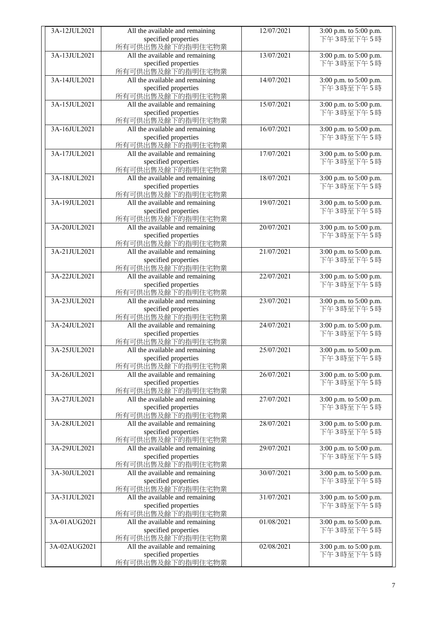| 3A-12JUL2021 | All the available and remaining                     | 12/07/2021 | 3:00 p.m. to 5:00 p.m.              |
|--------------|-----------------------------------------------------|------------|-------------------------------------|
|              | specified properties                                |            | 下午3時至下午5時                           |
|              | 所有可供出售及餘下的指明住宅物業                                    |            |                                     |
| 3A-13JUL2021 | All the available and remaining                     | 13/07/2021 | 3:00 p.m. to 5:00 p.m.              |
|              | specified properties                                |            | 下午3時至下午5時                           |
|              | 所有可供出售及餘下的指明住宅物業                                    |            |                                     |
| 3A-14JUL2021 | All the available and remaining                     | 14/07/2021 | 3:00 p.m. to 5:00 p.m.              |
|              | specified properties                                |            | 下午3時至下午5時                           |
|              | 所有可供出售及餘下的指明住宅物業                                    |            |                                     |
| 3A-15JUL2021 | All the available and remaining                     | 15/07/2021 | 3:00 p.m. to 5:00 p.m.              |
|              | specified properties                                |            | 下午3時至下午5時                           |
|              | 所有可供出售及餘下的指明住宅物業                                    |            |                                     |
| 3A-16JUL2021 | All the available and remaining                     | 16/07/2021 | 3:00 p.m. to 5:00 p.m.              |
|              | specified properties                                |            | 下午3時至下午5時                           |
|              | 所有可供出售及餘下的指明住宅物業                                    |            |                                     |
| 3A-17JUL2021 | All the available and remaining                     | 17/07/2021 | 3:00 p.m. to 5:00 p.m.              |
|              | specified properties                                |            | 下午3時至下午5時                           |
|              | 所有可供出售及餘下的指明住宅物業                                    |            |                                     |
| 3A-18JUL2021 | All the available and remaining                     | 18/07/2021 | 3:00 p.m. to 5:00 p.m.              |
|              | specified properties                                |            | 下午3時至下午5時                           |
|              | 所有可供出售及餘下的指明住宅物業                                    |            |                                     |
| 3A-19JUL2021 | All the available and remaining                     | 19/07/2021 | 3:00 p.m. to 5:00 p.m.              |
|              | specified properties                                |            | 下午3時至下午5時                           |
|              | 所有可供出售及餘下的指明住宅物業                                    |            |                                     |
| 3A-20JUL2021 | All the available and remaining                     | 20/07/2021 | 3:00 p.m. to 5:00 p.m.              |
|              | specified properties                                |            | 下午3時至下午5時                           |
|              | 所有可供出售及餘下的指明住宅物業                                    |            |                                     |
| 3A-21JUL2021 | All the available and remaining                     | 21/07/2021 | 3:00 p.m. to 5:00 p.m.              |
|              | specified properties                                |            | 下午3時至下午5時                           |
|              | 所有可供出售及餘下的指明住宅物業                                    |            |                                     |
| 3A-22JUL2021 | All the available and remaining                     | 22/07/2021 | 3:00 p.m. to 5:00 p.m.              |
|              | specified properties                                |            | 下午3時至下午5時                           |
|              | 所有可供出售及餘下的指明住宅物業                                    |            |                                     |
| 3A-23JUL2021 | All the available and remaining                     | 23/07/2021 | 3:00 p.m. to 5:00 p.m.              |
|              | specified properties                                |            | 下午3時至下午5時                           |
|              | 所有可供出售及餘下的指明住宅物業                                    |            |                                     |
| 3A-24JUL2021 | All the available and remaining                     | 24/07/2021 | 3:00 p.m. to 5:00 p.m.              |
|              | specified properties                                |            | 下午3時至下午5時                           |
|              | 所有可供出售及餘下的指明住宅物業                                    |            |                                     |
| 3A-25JUL2021 | All the available and remaining                     | 25/07/2021 | 3:00 p.m. to 5:00 p.m.              |
|              | specified properties                                |            | 下午3時至下午5時                           |
|              | 所有可供出售及餘下的指明住宅物業                                    |            |                                     |
| 3A-26JUL2021 | All the available and remaining                     | 26/07/2021 | 3:00 p.m. to 5:00 p.m.              |
|              | specified properties                                |            | 下午3時至下午5時                           |
|              | 所有可供出售及餘下的指明住宅物業                                    |            |                                     |
| 3A-27JUL2021 | All the available and remaining                     | 27/07/2021 | 3:00 p.m. to 5:00 p.m.              |
|              | specified properties                                |            | 下午3時至下午5時                           |
|              | 所有可供出售及餘下的指明住宅物業                                    |            |                                     |
| 3A-28JUL2021 | All the available and remaining                     | 28/07/2021 | 3:00 p.m. to 5:00 p.m.              |
|              | specified properties                                |            | 下午3時至下午5時                           |
|              | 所有可供出售及餘下的指明住宅物業                                    |            |                                     |
| 3A-29JUL2021 | All the available and remaining                     | 29/07/2021 | 3:00 p.m. to 5:00 p.m.              |
|              | specified properties                                |            | 下午3時至下午5時                           |
|              | 所有可供出售及餘下的指明住宅物業                                    |            |                                     |
| 3A-30JUL2021 | All the available and remaining                     | 30/07/2021 | 3:00 p.m. to 5:00 p.m.              |
|              | specified properties                                |            | 下午3時至下午5時                           |
|              | 所有可供出售及餘下的指明住宅物業                                    |            |                                     |
| 3A-31JUL2021 | All the available and remaining                     | 31/07/2021 | 3:00 p.m. to 5:00 p.m.              |
|              | specified properties                                |            | 下午3時至下午5時                           |
|              | 所有可供出售及餘下的指明住宅物業                                    |            |                                     |
| 3A-01AUG2021 | All the available and remaining                     | 01/08/2021 | 3:00 p.m. to 5:00 p.m.              |
|              | specified properties                                |            | 下午3時至下午5時                           |
| 3A-02AUG2021 | 所有可供出售及餘下的指明住宅物業<br>All the available and remaining | 02/08/2021 |                                     |
|              | specified properties                                |            | 3:00 p.m. to 5:00 p.m.<br>下午3時至下午5時 |
|              | 所有可供出售及餘下的指明住宅物業                                    |            |                                     |
|              |                                                     |            |                                     |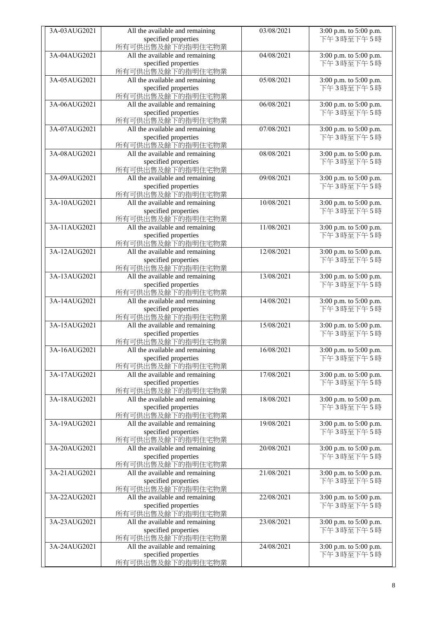| 3A-03AUG2021 | All the available and remaining | 03/08/2021 | 3:00 p.m. to 5:00 p.m. |
|--------------|---------------------------------|------------|------------------------|
|              | specified properties            |            | 下午3時至下午5時              |
|              |                                 |            |                        |
|              | 所有可供出售及餘下的指明住宅物業                |            |                        |
| 3A-04AUG2021 | All the available and remaining | 04/08/2021 | 3:00 p.m. to 5:00 p.m. |
|              | specified properties            |            | 下午3時至下午5時              |
|              | 所有可供出售及餘下的指明住宅物業                |            |                        |
| 3A-05AUG2021 | All the available and remaining | 05/08/2021 | 3:00 p.m. to 5:00 p.m. |
|              | specified properties            |            | 下午3時至下午5時              |
|              | 所有可供出售及餘下的指明住宅物業                |            |                        |
| 3A-06AUG2021 | All the available and remaining | 06/08/2021 | 3:00 p.m. to 5:00 p.m. |
|              |                                 |            | 下午3時至下午5時              |
|              | specified properties            |            |                        |
|              | 所有可供出售及餘下的指明住宅物業                |            |                        |
| 3A-07AUG2021 | All the available and remaining | 07/08/2021 | 3:00 p.m. to 5:00 p.m. |
|              | specified properties            |            | 下午3時至下午5時              |
|              | 所有可供出售及餘下的指明住宅物業                |            |                        |
| 3A-08AUG2021 | All the available and remaining | 08/08/2021 | 3:00 p.m. to 5:00 p.m. |
|              | specified properties            |            | 下午3時至下午5時              |
|              | 所有可供出售及餘下的指明住宅物業                |            |                        |
| 3A-09AUG2021 | All the available and remaining | 09/08/2021 | 3:00 p.m. to 5:00 p.m. |
|              |                                 |            |                        |
|              | specified properties            |            | 下午3時至下午5時              |
|              | 所有可供出售及餘下的指明住宅物業                |            |                        |
| 3A-10AUG2021 | All the available and remaining | 10/08/2021 | 3:00 p.m. to 5:00 p.m. |
|              | specified properties            |            | 下午3時至下午5時              |
|              | 所有可供出售及餘下的指明住宅物業                |            |                        |
| 3A-11AUG2021 | All the available and remaining | 11/08/2021 | 3:00 p.m. to 5:00 p.m. |
|              | specified properties            |            | 下午3時至下午5時              |
|              | 所有可供出售及餘下的指明住宅物業                |            |                        |
| 3A-12AUG2021 |                                 |            |                        |
|              | All the available and remaining | 12/08/2021 | 3:00 p.m. to 5:00 p.m. |
|              | specified properties            |            | 下午3時至下午5時              |
|              | 所有可供出售及餘下的指明住宅物業                |            |                        |
| 3A-13AUG2021 | All the available and remaining | 13/08/2021 | 3:00 p.m. to 5:00 p.m. |
|              | specified properties            |            | 下午3時至下午5時              |
|              | 所有可供出售及餘下的指明住宅物業                |            |                        |
| 3A-14AUG2021 | All the available and remaining | 14/08/2021 | 3:00 p.m. to 5:00 p.m. |
|              | specified properties            |            | 下午3時至下午5時              |
|              | 所有可供出售及餘下的指明住宅物業                |            |                        |
| 3A-15AUG2021 | All the available and remaining | 15/08/2021 | 3:00 p.m. to 5:00 p.m. |
|              |                                 |            | 下午3時至下午5時              |
|              | specified properties            |            |                        |
|              | 所有可供出售及餘下的指明住宅物業                |            |                        |
| 3A-16AUG2021 | All the available and remaining | 16/08/2021 | 3:00 p.m. to 5:00 p.m. |
|              | specified properties            |            | 下午3時至下午5時              |
|              | 所有可供出售及餘下的指明住宅物業                |            |                        |
| 3A-17AUG2021 | All the available and remaining | 17/08/2021 | 3:00 p.m. to 5:00 p.m. |
|              | specified properties            |            | 下午3時至下午5時              |
|              | 所有可供出售及餘下的指明住宅物業                |            |                        |
| 3A-18AUG2021 | All the available and remaining | 18/08/2021 | 3:00 p.m. to 5:00 p.m. |
|              |                                 |            | 下午3時至下午5時              |
|              | specified properties            |            |                        |
|              | 所有可供出售及餘下的指明住宅物業                |            |                        |
| 3A-19AUG2021 | All the available and remaining | 19/08/2021 | 3:00 p.m. to 5:00 p.m. |
|              | specified properties            |            | 下午3時至下午5時              |
|              | 所有可供出售及餘下的指明住宅物業                |            |                        |
| 3A-20AUG2021 | All the available and remaining | 20/08/2021 | 3:00 p.m. to 5:00 p.m. |
|              | specified properties            |            | 下午3時至下午5時              |
|              | 所有可供出售及餘下的指明住宅物業                |            |                        |
| 3A-21AUG2021 | All the available and remaining | 21/08/2021 | 3:00 p.m. to 5:00 p.m. |
|              | specified properties            |            | 下午3時至下午5時              |
|              |                                 |            |                        |
|              | 所有可供出售及餘下的指明住宅物業                |            |                        |
| 3A-22AUG2021 | All the available and remaining | 22/08/2021 | 3:00 p.m. to 5:00 p.m. |
|              | specified properties            |            | 下午3時至下午5時              |
|              | 所有可供出售及餘下的指明住宅物業                |            |                        |
| 3A-23AUG2021 | All the available and remaining | 23/08/2021 | 3:00 p.m. to 5:00 p.m. |
|              | specified properties            |            | 下午3時至下午5時              |
|              | 所有可供出售及餘下的指明住宅物業                |            |                        |
| 3A-24AUG2021 | All the available and remaining | 24/08/2021 | 3:00 p.m. to 5:00 p.m. |
|              | specified properties            |            | 下午3時至下午5時              |
|              | 所有可供出售及餘下的指明住宅物業                |            |                        |
|              |                                 |            |                        |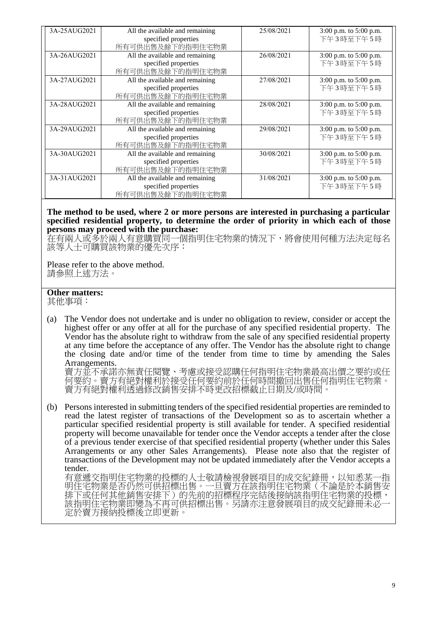| 3A-25AUG2021 | All the available and remaining<br>specified properties<br>所有可供出售及餘下的指明住宅物業 | 25/08/2021 | 3:00 p.m. to 5:00 p.m.<br>下午3時至下午5時 |
|--------------|-----------------------------------------------------------------------------|------------|-------------------------------------|
| 3A-26AUG2021 | All the available and remaining<br>specified properties<br>所有可供出售及餘下的指明住宅物業 | 26/08/2021 | 3:00 p.m. to 5:00 p.m.<br>下午3時至下午5時 |
| 3A-27AUG2021 | All the available and remaining<br>specified properties<br>所有可供出售及餘下的指明住宅物業 | 27/08/2021 | 3:00 p.m. to 5:00 p.m.<br>下午3時至下午5時 |
| 3A-28AUG2021 | All the available and remaining<br>specified properties<br>所有可供出售及餘下的指明住宅物業 | 28/08/2021 | 3:00 p.m. to 5:00 p.m.<br>下午3時至下午5時 |
| 3A-29AUG2021 | All the available and remaining<br>specified properties<br>所有可供出售及餘下的指明住宅物業 | 29/08/2021 | 3:00 p.m. to 5:00 p.m.<br>下午3時至下午5時 |
| 3A-30AUG2021 | All the available and remaining<br>specified properties<br>所有可供出售及餘下的指明住宅物業 | 30/08/2021 | 3:00 p.m. to 5:00 p.m.<br>下午3時至下午5時 |
| 3A-31AUG2021 | All the available and remaining<br>specified properties<br>所有可供出售及餘下的指明住宅物業 | 31/08/2021 | 3:00 p.m. to 5:00 p.m.<br>下午3時至下午5時 |

## **The method to be used, where 2 or more persons are interested in purchasing a particular specified residential property, to determine the order of priority in which each of those persons may proceed with the purchase:**

在有兩人或多於兩人有意購買同一個指明住宅物業的情況下,將會使用何種方法決定每名 該等人士可購買該物業的優先次序:

Please refer to the above method. 請參照上述方法。

## **Other matters:**

其他事項:

(a) The Vendor does not undertake and is under no obligation to review, consider or accept the highest offer or any offer at all for the purchase of any specified residential property. The Vendor has the absolute right to withdraw from the sale of any specified residential property at any time before the acceptance of any offer. The Vendor has the absolute right to change the closing date and/or time of the tender from time to time by amending the Sales Arrangements.

賣方並不承諾亦無責任閱覽、考慮或接受認購任何指明住宅物業最高出價之要約或任 何要約。賣方有絕對權利於接受任何要約前於任何時間撤回出售任何指明住宅物業。 賣方有絕對權利透過修改銷售安排不時更改招標截止日期及/或時間。

(b) Persons interested in submitting tenders of the specified residential properties are reminded to read the latest register of transactions of the Development so as to ascertain whether a particular specified residential property is still available for tender. A specified residential property will become unavailable for tender once the Vendor accepts a tender after the close of a previous tender exercise of that specified residential property (whether under this Sales Arrangements or any other Sales Arrangements). Please note also that the register of transactions of the Development may not be updated immediately after the Vendor accepts a tender.

有意遞交指明住宅物業的投標的人士敬請檢視發展項目的成交紀錄冊,以知悉某一指 明住宅物業是否仍然可供招標出售。一旦賣方在該指明住宅物業(不論是於本銷售安 排下或任何其他銷售安排下)的先前的招標程序完結後接納該指明住宅物業的投標, 該指明住宅物業即變為不再可供招標出售。另請亦注意發展項目的成交紀錄冊未必一 定於賣方接納投標後立即更新。